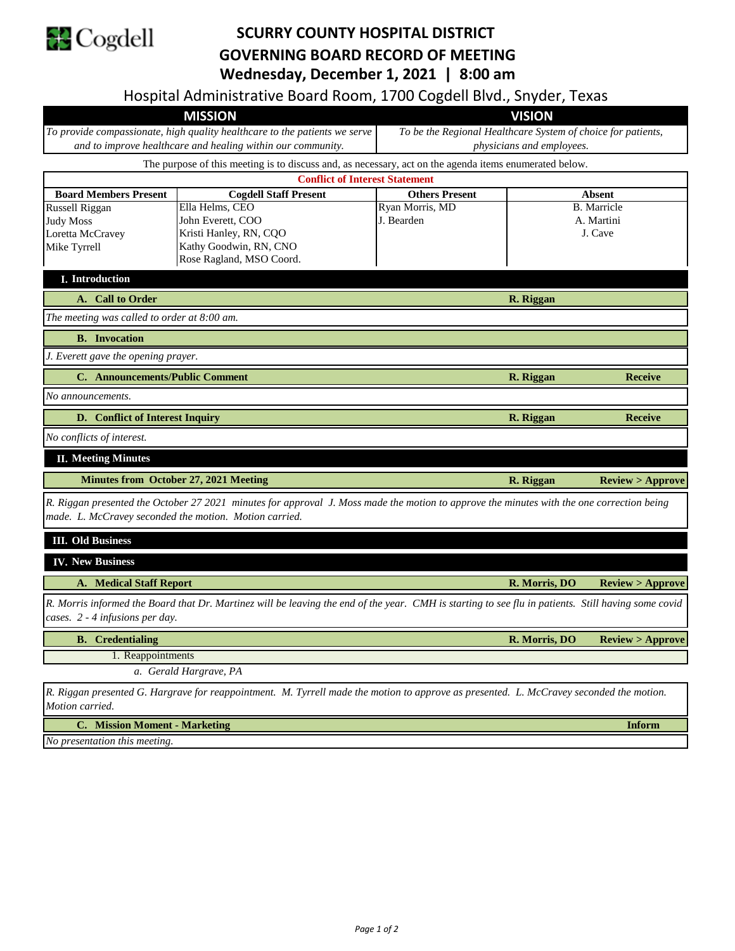

## **SCURRY COUNTY HOSPITAL DISTRICT GOVERNING BOARD RECORD OF MEETING Wednesday, December 1, 2021 | 8:00 am**

Hospital Administrative Board Room, 1700 Cogdell Blvd., Snyder, Texas

| <b>MISSION</b>                                                                                                                                                                                      |                                                                                                        | <b>VISION</b>                                                |               |                            |  |
|-----------------------------------------------------------------------------------------------------------------------------------------------------------------------------------------------------|--------------------------------------------------------------------------------------------------------|--------------------------------------------------------------|---------------|----------------------------|--|
| To provide compassionate, high quality healthcare to the patients we serve                                                                                                                          |                                                                                                        | To be the Regional Healthcare System of choice for patients, |               |                            |  |
| and to improve healthcare and healing within our community.                                                                                                                                         |                                                                                                        | physicians and employees.                                    |               |                            |  |
|                                                                                                                                                                                                     | The purpose of this meeting is to discuss and, as necessary, act on the agenda items enumerated below. |                                                              |               |                            |  |
| <b>Board Members Present</b>                                                                                                                                                                        | <b>Conflict of Interest Statement</b><br><b>Cogdell Staff Present</b>                                  | <b>Others Present</b><br><b>Absent</b>                       |               |                            |  |
| <b>Russell Riggan</b>                                                                                                                                                                               | Ella Helms, CEO                                                                                        | Ryan Morris, MD                                              |               | <b>B.</b> Marricle         |  |
| Judy Moss                                                                                                                                                                                           | John Everett, COO                                                                                      | J. Bearden                                                   |               | A. Martini                 |  |
| Loretta McCravey                                                                                                                                                                                    | Kristi Hanley, RN, CQO                                                                                 |                                                              |               | J. Cave                    |  |
| Mike Tyrrell                                                                                                                                                                                        | Kathy Goodwin, RN, CNO                                                                                 |                                                              |               |                            |  |
|                                                                                                                                                                                                     | Rose Ragland, MSO Coord.                                                                               |                                                              |               |                            |  |
| I. Introduction                                                                                                                                                                                     |                                                                                                        |                                                              |               |                            |  |
| A. Call to Order                                                                                                                                                                                    |                                                                                                        | R. Riggan                                                    |               |                            |  |
| The meeting was called to order at 8:00 am.                                                                                                                                                         |                                                                                                        |                                                              |               |                            |  |
| <b>B.</b> Invocation                                                                                                                                                                                |                                                                                                        |                                                              |               |                            |  |
| J. Everett gave the opening prayer.                                                                                                                                                                 |                                                                                                        |                                                              |               |                            |  |
| C. Announcements/Public Comment                                                                                                                                                                     |                                                                                                        |                                                              | R. Riggan     | <b>Receive</b>             |  |
| No announcements.                                                                                                                                                                                   |                                                                                                        |                                                              |               |                            |  |
| D. Conflict of Interest Inquiry                                                                                                                                                                     |                                                                                                        |                                                              | R. Riggan     | <b>Receive</b>             |  |
| No conflicts of interest.                                                                                                                                                                           |                                                                                                        |                                                              |               |                            |  |
| <b>II. Meeting Minutes</b>                                                                                                                                                                          |                                                                                                        |                                                              |               |                            |  |
| <b>Minutes from October 27, 2021 Meeting</b>                                                                                                                                                        |                                                                                                        |                                                              | R. Riggan     | <b>Review &gt; Approve</b> |  |
| R. Riggan presented the October 27 2021 minutes for approval J. Moss made the motion to approve the minutes with the one correction being<br>made. L. McCravey seconded the motion. Motion carried. |                                                                                                        |                                                              |               |                            |  |
| <b>III.</b> Old Business                                                                                                                                                                            |                                                                                                        |                                                              |               |                            |  |
| <b>IV. New Business</b>                                                                                                                                                                             |                                                                                                        |                                                              |               |                            |  |
| <b>A. Medical Staff Report</b>                                                                                                                                                                      |                                                                                                        |                                                              | R. Morris, DO | Review > Approve           |  |
| R. Morris informed the Board that Dr. Martinez will be leaving the end of the year. CMH is starting to see flu in patients. Still having some covid                                                 |                                                                                                        |                                                              |               |                            |  |
| cases. 2 - 4 infusions per day.                                                                                                                                                                     |                                                                                                        |                                                              |               |                            |  |
| <b>B.</b> Credentialing                                                                                                                                                                             |                                                                                                        |                                                              | R. Morris, DO | <b>Review &gt; Approve</b> |  |
| 1. Reappointments                                                                                                                                                                                   |                                                                                                        |                                                              |               |                            |  |
| a. Gerald Hargrave, PA                                                                                                                                                                              |                                                                                                        |                                                              |               |                            |  |
| R. Riggan presented G. Hargrave for reappointment. M. Tyrrell made the motion to approve as presented. L. McCravey seconded the motion.<br>Motion carried.                                          |                                                                                                        |                                                              |               |                            |  |

**C. Inform Mission Moment - Marketing**

*No presentation this meeting.*